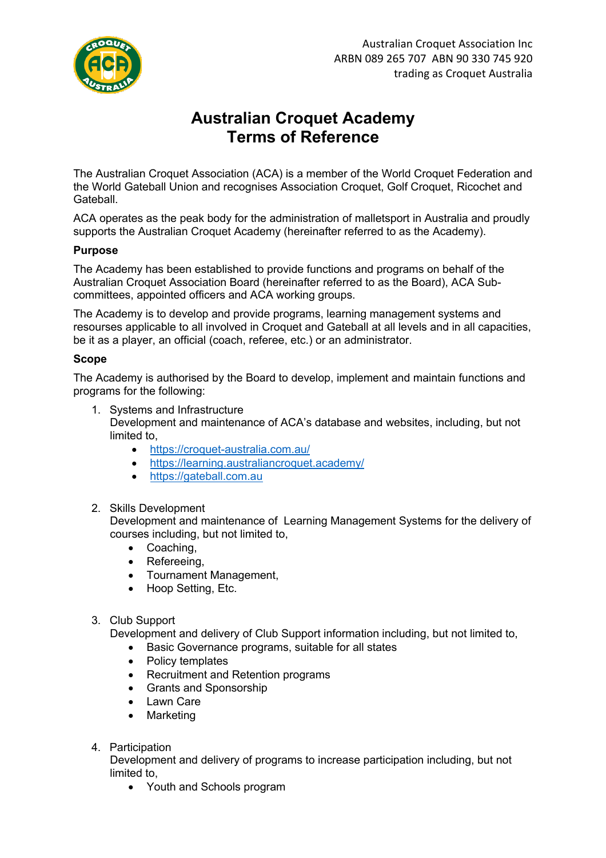

# **Australian Croquet Academy Terms of Reference**

The Australian Croquet Association (ACA) is a member of the World Croquet Federation and the World Gateball Union and recognises Association Croquet, Golf Croquet, Ricochet and Gateball.

ACA operates as the peak body for the administration of malletsport in Australia and proudly supports the Australian Croquet Academy (hereinafter referred to as the Academy).

## **Purpose**

The Academy has been established to provide functions and programs on behalf of the Australian Croquet Association Board (hereinafter referred to as the Board), ACA Subcommittees, appointed officers and ACA working groups.

The Academy is to develop and provide programs, learning management systems and resourses applicable to all involved in Croquet and Gateball at all levels and in all capacities, be it as a player, an official (coach, referee, etc.) or an administrator.

#### **Scope**

The Academy is authorised by the Board to develop, implement and maintain functions and programs for the following:

- 1. Systems and Infrastructure Development and maintenance of ACA's database and websites, including, but not limited to,
	- https://croquet-australia.com.au/
	- https://learning.australiancroquet.academy/
	- https://gateball.com.au

## 2. Skills Development

Development and maintenance of Learning Management Systems for the delivery of courses including, but not limited to,

- Coaching,
- Refereeing,
- Tournament Management,
- Hoop Setting, Etc.

## 3. Club Support

Development and delivery of Club Support information including, but not limited to,

- Basic Governance programs, suitable for all states
- Policy templates
- Recruitment and Retention programs
- Grants and Sponsorship
- **Lawn Care**
- Marketing
- 4. Participation

Development and delivery of programs to increase participation including, but not limited to,

• Youth and Schools program